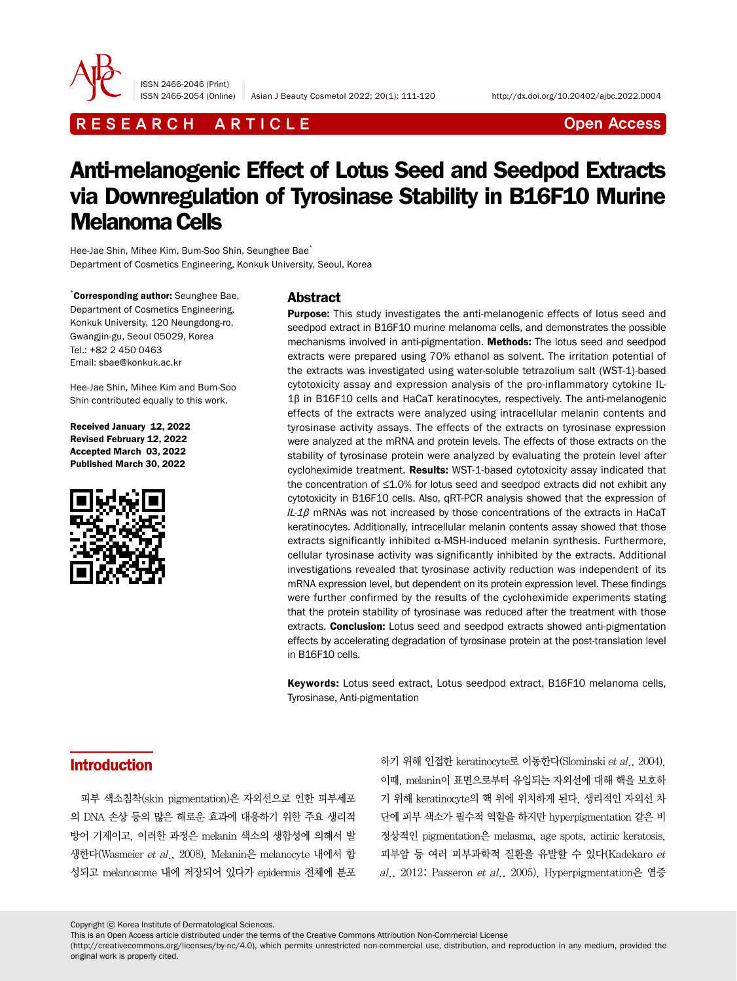

ISSN 2466-2046 (Print)

# R E S E A R C H A R T I C L E CHE COME CONTROLLER CONTROLLER CONTROLLER CONTROLLER CONTROLLER CONTROLLER CONTROLLER CONTROLLER CONTROLLER CONTROLLER CONTROLLER CONTROLLER CONTROLLER CONTROLLER CONTROLLER CONTROLLER CONTROL

# Anti-melanogenic Effect of Lotus Seed and Seedpod Extracts via Downregulation of Tyrosinase Stability in B16F10 Murine Melanoma Cells

Hee-Jae Shin, Mihee Kim, Bum-Soo Shin, Seunghee Bae\* Department of Cosmetics Engineering, Konkuk University, Seoul, Korea

\* Corresponding author: Seunghee Bae, Department of Cosmetics Engineering, Konkuk University, 120 Neungdong-ro, Gwangjin-gu, Seoul 05029, Korea Tel.: +82 2 450 0463 Email: sbae@konkuk.ac.kr

Hee-Jae Shin, Mihee Kim and Bum-Soo Shin contributed equally to this work.

Received January 12, 2022 Revised February 12, 2022 Accepted March 03, 2022 Published March 30, 2022



### Abstract

**Purpose:** This study investigates the anti-melanogenic effects of lotus seed and seedpod extract in B16F10 murine melanoma cells, and demonstrates the possible mechanisms involved in anti-pigmentation. Methods: The lotus seed and seedpod extracts were prepared using 70% ethanol as solvent. The irritation potential of the extracts was investigated using water-soluble tetrazolium salt (WST-1)-based cytotoxicity assay and expression analysis of the pro-inflammatory cytokine IL-1β in B16F10 cells and HaCaT keratinocytes, respectively. The anti-melanogenic effects of the extracts were analyzed using intracellular melanin contents and tyrosinase activity assays. The effects of the extracts on tyrosinase expression were analyzed at the mRNA and protein levels. The effects of those extracts on the stability of tyrosinase protein were analyzed by evaluating the protein level after cycloheximide treatment. Results: WST-1-based cytotoxicity assay indicated that the concentration of ≤1.0% for lotus seed and seedpod extracts did not exhibit any cytotoxicity in B16F10 cells. Also, qRT-PCR analysis showed that the expression of  $IL-1\beta$  mRNAs was not increased by those concentrations of the extracts in HaCaT keratinocytes. Additionally, intracellular melanin contents assay showed that those extracts significantly inhibited α-MSH-induced melanin synthesis. Furthermore, cellular tyrosinase activity was significantly inhibited by the extracts. Additional investigations revealed that tyrosinase activity reduction was independent of its mRNA expression level, but dependent on its protein expression level. These findings were further confirmed by the results of the cycloheximide experiments stating that the protein stability of tyrosinase was reduced after the treatment with those extracts. **Conclusion:** Lotus seed and seedpod extracts showed anti-pigmentation effects by accelerating degradation of tyrosinase protein at the post-translation level in B16F10 cells.

Keywords: Lotus seed extract, Lotus seedpod extract, B16F10 melanoma cells, Tyrosinase, Anti-pigmentation

# Introduction

피부 색소침착(skin pigmentation)은 자외선으로 인한 피부세포 의 DNA 손상 등의 많은 해로운 효과에 대응하기 위한 주요 생리적 방어 기제이고, 이러한 과정은 melanin 색소의 생합성에 의해서 발 생한다(Wasmeier et al., 2008). Melanin은 melanocyte 내에서 합 성되고 melanosome 내에 저장되어 있다가 epidermis 전체에 분포

하기 위해 인접한 keratinocyte로 이동한다(Slominski et al., 2004). 이때, melanin이 표면으로부터 유입되는 자외선에 대해 핵을 보호하 기 위해 keratinocyte의 핵 위에 위치하게 된다. 생리적인 자외선 차 단에 피부 색소가 필수적 역할을 하지만 hyperpigmentation 같은 비 정상적인 pigmentation은 melasma, age spots, actinic keratosis, 피부암 등 여러 피부과학적 질환을 유발할 수 있다(Kadekaro et  $al., 2012$ ; Passeron et  $al., 2005$ ). Hyperpigmentation은 염증

Copyright ⓒ Korea Institute of Dermatological Sciences.

This is an Open Access article distributed under the terms of the Creative Commons Attribution Non-Commercial License

(http://creativecommons.org/licenses/by-nc/4.0), which permits unrestricted non-commercial use, distribution, and reproduction in any medium, provided the original work is properly cited.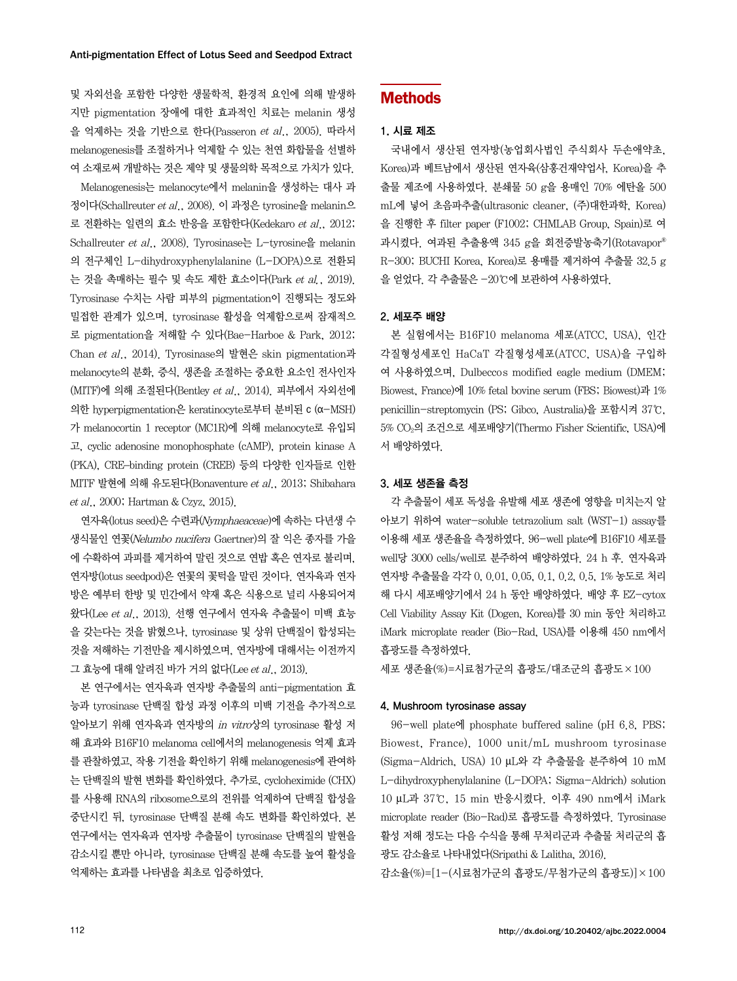및 자외선을 포함한 다양한 생물학적, 환경적 요인에 의해 발생하 지만 pigmentation 장애에 대한 효과적인 치료는 melanin 생성 을 억제하는 것을 기반으로 한다(Passeron et al., 2005). 따라서 melanogenesis를 조절하거나 억제할 수 있는 천연 화합물을 선별하 여 소재로써 개발하는 것은 제약 및 생물의학 목적으로 가치가 있다.

Melanogenesis는 melanocyte에서 melanin을 생성하는 대사 과 정이다(Schallreuter et al., 2008). 이 과정은 tyrosine을 melanin으 로 전환하는 일련의 효소 반응을 포함한다(Kedekaro et al., 2012; Schallreuter et al., 2008). Tyrosinase는 L-tyrosine을 melanin 의 전구체인 L-dihydroxyphenylalanine (L-DOPA)으로 전환되 는 것을 촉매하는 필수 및 속도 제한 효소이다(Park et al., 2019). Tyrosinase 수치는 사람 피부의 pigmentation이 진행되는 정도와 밀접한 관계가 있으며, tyrosinase 활성을 억제함으로써 잠재적으 로 pigmentation을 저해할 수 있다(Bae-Harboe & Park, 2012; Chan et al., 2014). Tyrosinase의 발현은 skin pigmentation과 melanocyte의 분화, 증식, 생존을 조절하는 중요한 요소인 전사인자 (MITF)에 의해 조절된다(Bentley et al., 2014). 피부에서 자외선에 의한 hyperpigmentation은 keratinocyte로부터 분비된 c (α-MSH) 가 melanocortin 1 receptor (MC1R)에 의해 melanocyte로 유입되 고, cyclic adenosine monophosphate (cAMP), protein kinase A (PKA), CRE–binding protein (CREB) 등의 다양한 인자들로 인한 MITF 발현에 의해 유도된다(Bonaventure et al., 2013; Shibahara et al., 2000; Hartman & Czyz, 2015).

연자육(lotus seed)은 수련과(Nymphaeaceae)에 속하는 다년생 수 생식물인 연꽃(Nelumbo nucifera Gaertner)의 잘 익은 종자를 가을 에 수확하여 과피를 제거하여 말린 것으로 연밥 혹은 연자로 불리며, 연자방(lotus seedpod)은 연꽃의 꽃턱을 말린 것이다. 연자육과 연자 방은 예부터 한방 및 민간에서 약재 혹은 식용으로 널리 사용되어져 왔다(Lee et al., 2013). 선행 연구에서 연자육 추출물이 미백 효능 을 갖는다는 것을 밝혔으나, tyrosinase 및 상위 단백질이 합성되는 것을 저해하는 기전만을 제시하였으며, 연자방에 대해서는 이전까지 그 효능에 대해 알려진 바가 거의 없다(Lee et al., 2013).

본 연구에서는 연자육과 연자방 추출물의 anti-pigmentation 효 능과 tyrosinase 단백질 합성 과정 이후의 미백 기전을 추가적으로 알아보기 위해 연자육과 연자방의 in vitro상의 tyrosinase 활성 저 해 효과와 B16F10 melanoma cell에서의 melanogenesis 억제 효과 를 관찰하였고, 작용 기전을 확인하기 위해 melanogenesis에 관여하 는 단백질의 발현 변화를 확인하였다. 추가로, cycloheximide (CHX) 를 사용해 RNA의 ribosome으로의 전위를 억제하여 단백질 합성을 중단시킨 뒤, tyrosinase 단백질 분해 속도 변화를 확인하였다. 본 연구에서는 연자육과 연자방 추출물이 tyrosinase 단백질의 발현을 감소시킬 뿐만 아니라, tyrosinase 단백질 분해 속도를 높여 활성을 억제하는 효과를 나타냄을 최초로 입증하였다.

# **Methods**

#### 1. 시료 제조

국내에서 생산된 연자방(농업회사법인 주식회사 두손애약초, Korea)과 베트남에서 생산된 연자육(삼홍건재약업사, Korea)을 추 출물 제조에 사용하였다. 분쇄물 50 g을 용매인 70% 에탄올 500 mL에 넣어 초음파추출(ultrasonic cleaner, (주)대한과학, Korea) 을 진행한 후 filter paper (F1002; CHMLAB Group, Spain)로 여 과시켰다. 여과된 추출용액 345 g을 회전증발농축기(Rotavapor® R-300; BUCHI Korea, Korea)로 용매를 제거하여 추출물 32.5 g 을 얻었다. 각 추출물은 -20℃에 보관하여 사용하였다.

#### 2. 세포주 배양

본 실험에서는 B16F10 melanoma 세포(ATCC, USA), 인간 각질형성세포인 HaCaT 각질형성세포(ATCC, USA)을 구입하 여 사용하였으며, Dulbeccos modified eagle medium (DMEM; Biowest, France)에 10% fetal bovine serum (FBS; Biowest)과 1% penicillin-streptomycin (PS; Gibco, Australia)을 포함시켜 37℃, 5% CO2의 조건으로 세포배양기(Thermo Fisher Scientific, USA)에 서 배양하였다.

#### 3. 세포 생존율 측정

각 추출물이 세포 독성을 유발해 세포 생존에 영향을 미치는지 알 아보기 위하여 water-soluble tetrazolium salt (WST-1) assay를 이용해 세포 생존율을 측정하였다. 96-well plate에 B16F10 세포를 well당 3000 cells/well로 분주하여 배양하였다. 24 h 후. 연자육과 연자방 추출물을 각각 0, 0.01, 0.05, 0.1, 0.2, 0.5, 1% 농도로 처리 해 다시 세포배양기에서 24 h 동안 배양하였다. 배양 후 EZ-cytox Cell Viability Assay Kit (Dogen, Korea)를 30 min 동안 처리하고 iMark microplate reader (Bio-Rad, USA)를 이용해 450 nm에서 흡광도를 측정하였다.

세포 생존율(%)=시료첨가군의 흡광도/대조군의 흡광도×100

#### 4. Mushroom tyrosinase assay

96-well plate에 phosphate buffered saline (pH 6.8, PBS; Biowest, France), 1000 unit/mL mushroom tyrosinase (Sigma-Aldrich, USA) 10 μL와 각 추출물을 분주하여 10 mM L-dihydroxyphenylalanine (L-DOPA; Sigma-Aldrich) solution 10 μL과 37℃, 15 min 반응시켰다. 이후 490 nm에서 iMark microplate reader (Bio-Rad)로 흡광도를 측정하였다. Tyrosinase 활성 저해 정도는 다음 수식을 통해 무처리군과 추출물 처리군의 흡 광도 감소율로 나타내었다(Sripathi & Lalitha, 2016).

감소율(%)=[1-(시료첨가군의 흡광도/무첨가군의 흡광도)]×100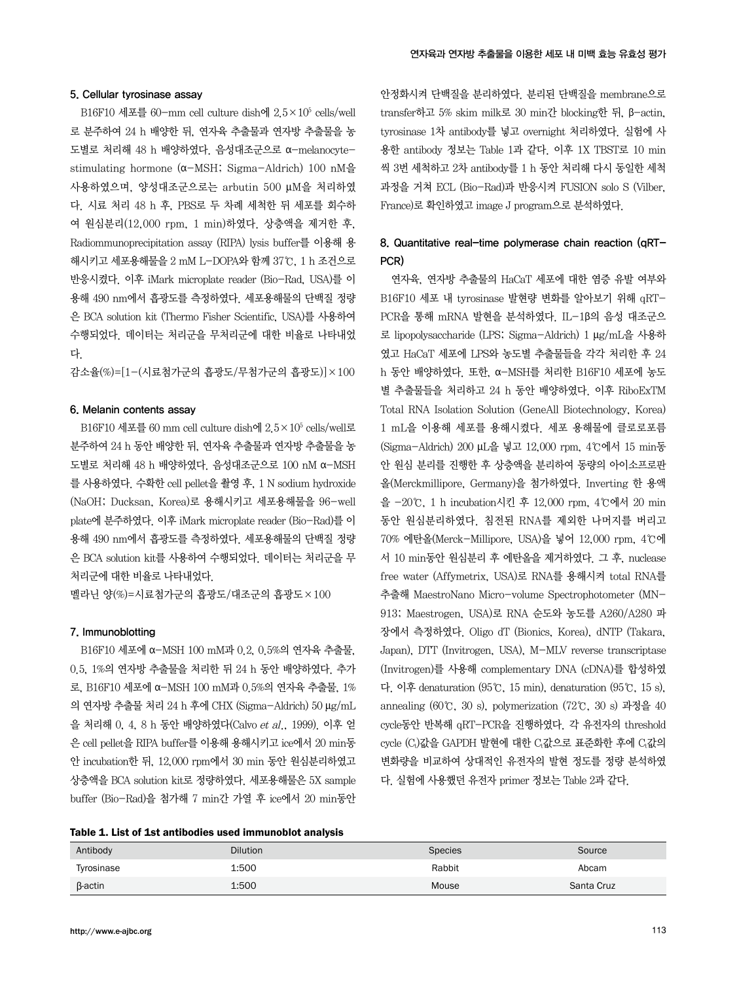#### 5. Cellular tyrosinase assay

B16F10 세포를 60-mm cell culture dish에 2.5×105 cells/well 로 분주하여 24 h 배양한 뒤, 연자육 추출물과 연자방 추출물을 농 도별로 처리해 48 h 배양하였다. 음성대조군으로 α-melanocytestimulating hormone (α-MSH; Sigma-Aldrich) 100 nM을 사용하였으며, 양성대조군으로는 arbutin 500 μM을 처리하였 다. 시료 처리 48 h 후, PBS로 두 차례 세척한 뒤 세포를 회수하 여 원심분리(12,000 rpm, 1 min)하였다. 상층액을 제거한 후, Radiommunoprecipitation assay (RIPA) lysis buffer를 이용해 용 해시키고 세포용해물을 2 mM L-DOPA와 함께 37℃, 1 h 조건으로 반응시켰다. 이후 iMark microplate reader (Bio-Rad, USA)를 이 용해 490 nm에서 흡광도를 측정하였다. 세포용해물의 단백질 정량 은 BCA solution kit (Thermo Fisher Scientific, USA)를 사용하여 수행되었다. 데이터는 처리군을 무처리군에 대한 비율로 나타내었 다.

감소율(%)=[1-(시료첨가군의 흡광도/무첨가군의 흡광도)]×100

### 6. Melanin contents assay

B16F10 세포를 60 mm cell culture dish에 2.5×105 cells/well로 분주하여 24 h 동안 배양한 뒤, 연자육 추출물과 연자방 추출물을 농 도별로 처리해 48 h 배양하였다. 음성대조군으로 100 nM α-MSH 를 사용하였다. 수확한 cell pellet을 촬영 후, 1 N sodium hydroxide (NaOH; Ducksan, Korea)로 용해시키고 세포용해물을 96-well plate에 분주하였다. 이후 iMark microplate reader (Bio-Rad)를 이 용해 490 nm에서 흡광도를 측정하였다. 세포용해물의 단백질 정량 은 BCA solution kit를 사용하여 수행되었다. 데이터는 처리군을 무 처리군에 대한 비율로 나타내었다.

멜라닌 양(%)=시료첨가군의 흡광도/대조군의 흡광도×100

#### 7. Immunoblotting

B16F10 세포에 α-MSH 100 mM과 0.2, 0.5%의 연자육 추출물, 0.5, 1%의 연자방 추출물을 처리한 뒤 24 h 동안 배양하였다. 추가 로, B16F10 세포에 α-MSH 100 mM과 0.5%의 연자육 추출물, 1% 의 연자방 추출물 처리 24 h 후에 CHX (Sigma-Aldrich) 50 μg/mL 을 처리해 0, 4, 8 h 동안 배양하였다(Calvo et al., 1999). 이후 얻 은 cell pellet을 RIPA buffer를 이용해 용해시키고 ice에서 20 min동 안 incubation한 뒤, 12,000 rpm에서 30 min 동안 원심분리하였고 상층액을 BCA solution kit로 정량하였다. 세포용해물은 5X sample buffer (Bio-Rad)을 첨가해 7 min간 가열 후 ice에서 20 min동안

안정화시켜 단백질을 분리하였다. 분리된 단백질을 membrane으로 transfer하고 5% skim milk로 30 min간 blocking한 뒤, β-actin, tyrosinase 1차 antibody를 넣고 overnight 처리하였다. 실험에 사 용한 antibody 정보는 Table 1과 같다. 이후 1X TBST로 10 min 씩 3번 세척하고 2차 antibody를 1 h 동안 처리해 다시 동일한 세척 과정을 거쳐 ECL (Bio-Rad)과 반응시켜 FUSION solo S (Vilber, France)로 확인하였고 image J program으로 분석하였다.

# 8. Quantitative real-time polymerase chain reaction (qRT-PCR)

연자육, 연자방 추출물의 HaCaT 세포에 대한 염증 유발 여부와 B16F10 세포 내 tyrosinase 발현량 변화를 알아보기 위해 qRT-PCR을 통해 mRNA 발현을 분석하였다. IL-1β의 음성 대조군으 로 lipopolysaccharide (LPS; Sigma-Aldrich) 1 μg/mL을 사용하 였고 HaCaT 세포에 LPS와 농도별 추출물들을 각각 처리한 후 24 h 동안 배양하였다. 또한, α-MSH를 처리한 B16F10 세포에 농도 별 추출물들을 처리하고 24 h 동안 배양하였다. 이후 RiboExTM Total RNA Isolation Solution (GeneAll Biotechnology, Korea) 1 mL을 이용해 세포를 용해시켰다. 세포 용해물에 클로로포름 (Sigma-Aldrich) 200 µL을 넣고 12,000 rpm, 4℃에서 15 min동 안 원심 분리를 진행한 후 상층액을 분리하여 동량의 아이소프로판 올(Merckmillipore, Germany)을 첨가하였다. Inverting 한 용액 을 -20℃, 1 h incubation시킨 후 12,000 rpm, 4℃에서 20 min 동안 원심분리하였다. 침전된 RNA를 제외한 나머지를 버리고 70% 에탄올(Merck-Millipore, USA)을 넣어 12,000 rpm, 4℃에 서 10 min동안 원심분리 후 에탄올을 제거하였다. 그 후, nuclease free water (Affymetrix, USA)로 RNA를 용해시켜 total RNA를 추출해 MaestroNano Micro-volume Spectrophotometer (MN-913; Maestrogen, USA)로 RNA 순도와 농도를 A260/A280 파 장에서 측정하였다. Oligo dT (Bionics, Korea), dNTP (Takara, Japan), DTT (Invitrogen, USA), M-MLV reverse transcriptase (Invitrogen)를 사용해 complementary DNA (cDNA)를 합성하였 다. 이후 denaturation (95℃, 15 min), denaturation (95℃, 15 s), annealing (60℃, 30 s), polymerization (72℃, 30 s) 과정을 40 cycle동안 반복해 qRT-PCR을 진행하였다. 각 유전자의 threshold cycle (Ct)값을 GAPDH 발현에 대한 C 값으로 표준화한 후에 C 값의 변화량을 비교하여 상대적인 유전자의 발현 정도를 정량 분석하였 다. 실험에 사용했던 유전자 primer 정보는 Table 2과 같다.

| Table 1. List of 1st antibodies used immunoblot analysis |  |
|----------------------------------------------------------|--|
|----------------------------------------------------------|--|

| Antibody       | <b>Dilution</b> | <b>Species</b> | Source     |
|----------------|-----------------|----------------|------------|
| Tyrosinase     | 1:500           | Rabbit         | Abcam      |
| <b>ß-actin</b> | 1:500           | Mouse          | Santa Cruz |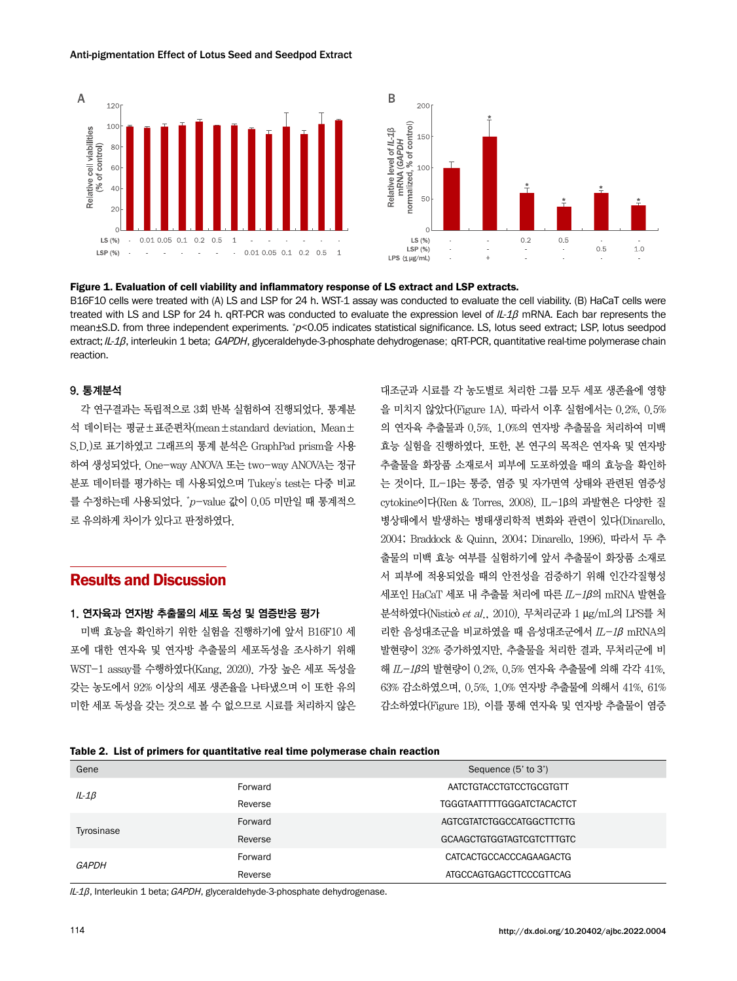#### Anti-pigmentation Effect of Lotus Seed and Seedpod Extract





#### Figure 1. Evaluation of cell viability and inflammatory response of LS extract and LSP extracts.

B16F10 cells were treated with (A) LS and LSP for 24 h. WST-1 assay was conducted to evaluate the cell viability. (B) HaCaT cells were treated with LS and LSP for 24 h. qRT-PCR was conducted to evaluate the expression level of IL-1β mRNA. Each bar represents the mean±S.D. from three independent experiments. \*p<0.05 indicates statistical significance. LS, lotus seed extract; LSP, lotus seedpod extract; IL-1β, interleukin 1 beta; GAPDH, glyceraldehyde-3-phosphate dehydrogenase; qRT-PCR, quantitative real-time polymerase chain reaction.

#### 9. 통계분석

각 연구결과는 독립적으로 3회 반복 실험하여 진행되었다. 통계분 석 데이터는 평균±표준편차(mean±standard deviation, Mean± S.D.)로 표기하였고 그래프의 통계 분석은 GraphPad prism을 사용 하여 생성되었다. One-way ANOVA 또는 two-way ANOVA는 정규 분포 데이터를 평가하는 데 사용되었으며 Tukey's test는 다중 비교 를 수정하는데 사용되었다.  $\check{}~p-$ value 값이  $0.05$  미만일 때 통계적으 로 유의하게 차이가 있다고 판정하였다.

# Results and Discussion

### 1. 연자육과 연자방 추출물의 세포 독성 및 염증반응 평가

미백 효능을 확인하기 위한 실험을 진행하기에 앞서 B16F10 세 포에 대한 연자육 및 연자방 추출물의 세포독성을 조사하기 위해 WST-1 assay를 수행하였다(Kang, 2020). 가장 높은 세포 독성을 갖는 농도에서 92% 이상의 세포 생존율을 나타냈으며 이 또한 유의 미한 세포 독성을 갖는 것으로 볼 수 없으므로 시료를 처리하지 않은

대조군과 시료를 각 농도별로 처리한 그룹 모두 세포 생존율에 영향 을 미치지 않았다(Figure 1A). 따라서 이후 실험에서는 0.2%, 0.5% 의 연자육 추출물과 0.5%, 1.0%의 연자방 추출물을 처리하여 미백 효능 실험을 진행하였다. 또한, 본 연구의 목적은 연자육 및 연자방 추출물을 화장품 소재로서 피부에 도포하였을 때의 효능을 확인하 는 것이다. IL-1β는 통증, 염증 및 자가면역 상태와 관련된 염증성 cytokine이다(Ren & Torres, 2008). IL-1β의 과발현은 다양한 질 병상태에서 발생하는 병태생리학적 변화와 관련이 있다(Dinarello, 2004; Braddock & Quinn, 2004; Dinarello, 1996). 따라서 두 추 출물의 미백 효능 여부를 실험하기에 앞서 추출물이 화장품 소재로 서 피부에 적용되었을 때의 안전성을 검증하기 위해 인간각질형성  $\mathcal{A}$ 포인 HaCaT 세포 내 추출물 처리에 따른  $IL-1\beta$ 의 mRNA 발현을 분석하였다(Nisticò et al., 2010). 무처리군과 1 μg/mL의 LPS를 처 리한 음성대조군을 비교하였을 때 음성대조군에서 IL-1β mRNA의 발현량이 32% 증가하였지만, 추출물을 처리한 결과, 무처리군에 비 해 IL-1β의 발현량이 0.2%, 0,5% 연자육 추출물에 의해 각각 41%, 63% 감소하였으며, 0.5%, 1.0% 연자방 추출물에 의해서 41%, 61% 감소하였다(Figure 1B). 이를 통해 연자육 및 연자방 추출물이 염증

#### Table 2. List of primers for quantitative real time polymerase chain reaction

| Gene         |         | Sequence (5' to 3')               |
|--------------|---------|-----------------------------------|
| $IL-1\beta$  | Forward | AATCTGTACCTGTCCTGCGTGTT           |
|              | Reverse | <b>TGGGTAATTTTTGGGATCTACACTCT</b> |
| Tyrosinase   | Forward | AGTCGTATCTGGCCATGGCTTCTTG         |
|              | Reverse | GCAAGCTGTGGTAGTCGTCTTTGTC         |
| <b>GAPDH</b> | Forward | CATCACTGCCACCCAGAAGACTG           |
|              | Reverse | ATGCCAGTGAGCTTCCCGTTCAG           |

IL-1β, Interleukin 1 beta; GAPDH, glyceraldehyde-3-phosphate dehydrogenase.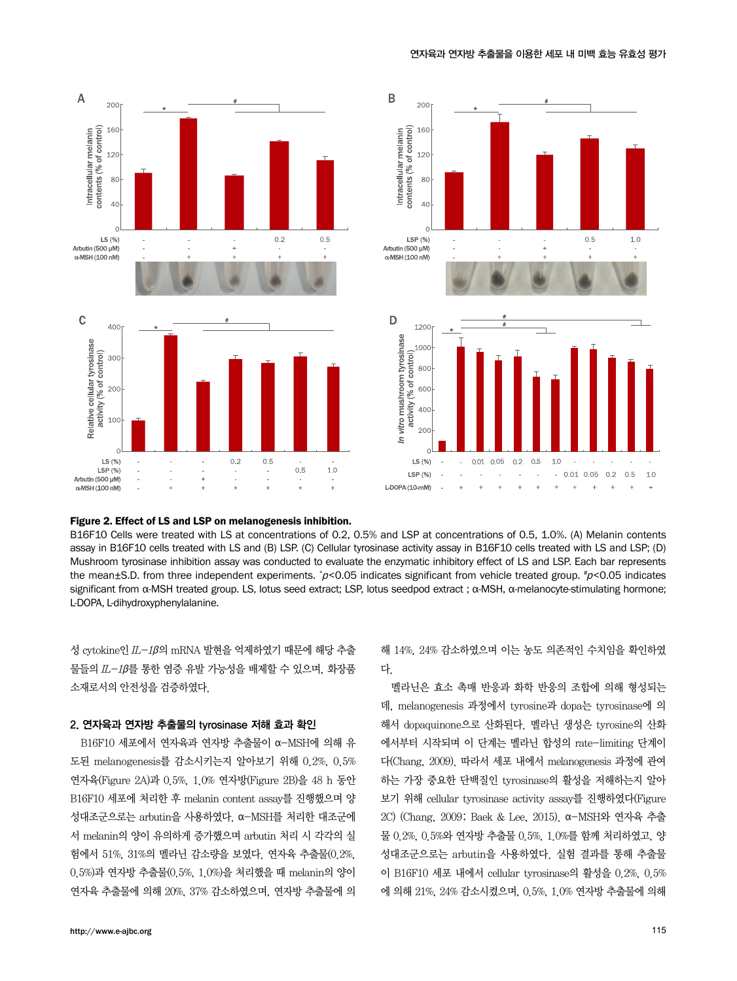





#### Figure 2. Effect of LS and LSP on melanogenesis inhibition.

B16F10 Cells were treated with LS at concentrations of 0.2, 0.5% and LSP at concentrations of 0.5, 1.0%. (A) Melanin contents assay in B16F10 cells treated with LS and (B) LSP. (C) Cellular tyrosinase activity assay in B16F10 cells treated with LS and LSP; (D) Mushroom tyrosinase inhibition assay was conducted to evaluate the enzymatic inhibitory effect of LS and LSP. Each bar represents the mean±S.D. from three independent experiments. \* <sup>p</sup><0.05 indicates significant from vehicle treated group. # <sup>p</sup><0.05 indicates significant from α-MSH treated group. LS, lotus seed extract; LSP, lotus seedpod extract ; α-MSH, α-melanocyte-stimulating hormone; L-DOPA, L-dihydroxyphenylalanine.

성 cytokine인 IL-1β의 mRNA 발현을 억제하였기 때문에 해당 추출 물들의 IL-1β를 통한 염증 유발 가능성을 배제할 수 있으며, 화장품 소재로서의 안전성을 검증하였다.

#### 2. 연자육과 연자방 추출물의 tyrosinase 저해 효과 확인

B16F10 세포에서 연자육과 연자방 추출물이 α-MSH에 의해 유 도된 melanogenesis를 감소시키는지 알아보기 위해 0.2%, 0.5% 연자육(Figure 2A)과 0.5%, 1.0% 연자방(Figure 2B)을 48 h 동안 B16F10 세포에 처리한 후 melanin content assay를 진행했으며 양 성대조군으로는 arbutin을 사용하였다. α-MSH를 처리한 대조군에 서 melanin의 양이 유의하게 증가했으며 arbutin 처리 시 각각의 실 험에서 51%, 31%의 멜라닌 감소량을 보였다. 연자육 추출물(0.2%, 0.5%)과 연자방 추출물(0.5%, 1.0%)을 처리했을 때 melanin의 양이 연자육 추출물에 의해 20%, 37% 감소하였으며, 연자방 추출물에 의 해 14%, 24% 감소하였으며 이는 농도 의존적인 수치임을 확인하였 다.

멜라닌은 효소 촉매 반응과 화학 반응의 조합에 의해 형성되는 데, melanogenesis 과정에서 tyrosine과 dopa는 tyrosinase에 의 해서 dopaquinone으로 산화된다. 멜라닌 생성은 tyrosine의 산화 에서부터 시작되며 이 단계는 멜라닌 합성의 rate-limiting 단계이 다(Chang, 2009). 따라서 세포 내에서 melanogenesis 과정에 관여 하는 가장 중요한 단백질인 tyrosinase의 활성을 저해하는지 알아 보기 위해 cellular tyrosinase activity assay를 진행하였다(Figure 2C) (Chang, 2009; Baek & Lee, 2015). α-MSH와 연자육 추출 물 0.2%, 0.5%와 연자방 추출물 0.5%, 1.0%를 함께 처리하였고, 양 성대조군으로는 arbutin을 사용하였다. 실험 결과를 통해 추출물 이 B16F10 세포 내에서 cellular tyrosinase의 활성을 0.2%, 0.5% 에 의해 21%, 24% 감소시켰으며, 0.5%, 1.0% 연자방 추출물에 의해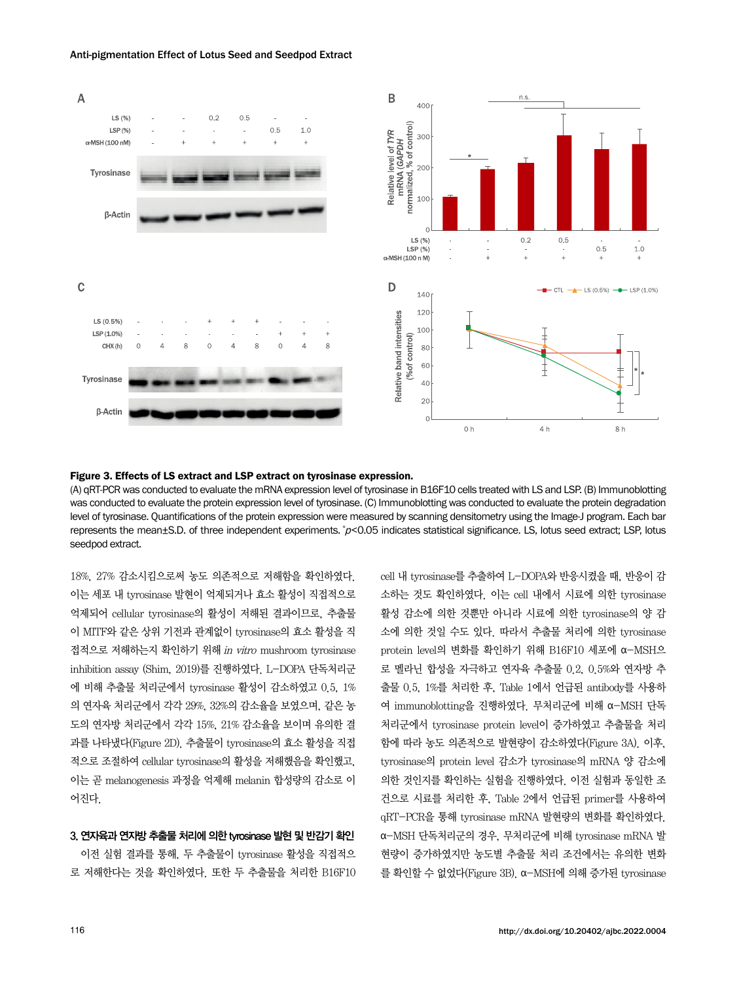

#### Anti-pigmentation Effect of Lotus Seed and Seedpod Extract

Figure 3. Effects of LS extract and LSP extract on tyrosinase expression.

(A) qRT-PCR was conducted to evaluate the mRNA expression level of tyrosinase in B16F10 cells treated with LS and LSP. (B) Immunoblotting was conducted to evaluate the protein expression level of tyrosinase. (C) Immunoblotting was conducted to evaluate the protein degradation level of tyrosinase. Quantifications of the protein expression were measured by scanning densitometry using the Image-J program. Each bar represents the mean±S.D. of three independent experiments. *\*p*<0.05 indicates statistical significance. LS, lotus seed extract; LSP, lotus seedpod extract.

18%, 27% 감소시킴으로써 농도 의존적으로 저해함을 확인하였다. 이는 세포 내 tyrosinase 발현이 억제되거나 효소 활성이 직접적으로 억제되어 cellular tyrosinase의 활성이 저해된 결과이므로, 추출물 이 MITF와 같은 상위 기전과 관계없이 tyrosinase의 효소 활성을 직 접적으로 저해하는지 확인하기 위해 in vitro mushroom tyrosinase inhibition assay (Shim, 2019)를 진행하였다. L-DOPA 단독처리군 에 비해 추출물 처리군에서 tyrosinase 활성이 감소하였고 0.5, 1% 의 연자육 처리군에서 각각 29%, 32%의 감소율을 보였으며, 같은 농 도의 연자방 처리군에서 각각 15%, 21% 감소율을 보이며 유의한 결 과를 나타냈다(Figure 2D). 추출물이 tyrosinase의 효소 활성을 직접 적으로 조절하여 cellular tyrosinase의 활성을 저해했음을 확인했고, 이는 곧 melanogenesis 과정을 억제해 melanin 합성량의 감소로 이 어진다.

#### 3. 연자육과 연자방 추출물 처리에 의한 tyrosinase 발현 및 반감기 확인

이전 실험 결과를 통해, 두 추출물이 tyrosinase 활성을 직접적으 로 저해한다는 것을 확인하였다. 또한 두 추출물을 처리한 B16F10 cell 내 tyrosinase를 추출하여 L-DOPA와 반응시켰을 때, 반응이 감 소하는 것도 확인하였다. 이는 cell 내에서 시료에 의한 tyrosinase 활성 감소에 의한 것뿐만 아니라 시료에 의한 tyrosinase의 양 감 소에 의한 것일 수도 있다. 따라서 추출물 처리에 의한 tyrosinase protein level의 변화를 확인하기 위해 B16F10 세포에 α-MSH으 로 멜라닌 합성을 자극하고 연자육 추출물 0.2, 0.5%와 연자방 추 출물 0.5, 1%를 처리한 후, Table 1에서 언급된 antibody를 사용하 여 immunoblotting을 진행하였다. 무처리군에 비해 α-MSH 단독 처리군에서 tyrosinase protein level이 증가하였고 추출물을 처리 함에 따라 농도 의존적으로 발현량이 감소하였다(Figure 3A). 이후, tyrosinase의 protein level 감소가 tyrosinase의 mRNA 양 감소에 의한 것인지를 확인하는 실험을 진행하였다. 이전 실험과 동일한 조 건으로 시료를 처리한 후, Table 2에서 언급된 primer를 사용하여 qRT-PCR을 통해 tyrosinase mRNA 발현량의 변화를 확인하였다. α-MSH 단독처리군의 경우, 무처리군에 비해 tyrosinase mRNA 발 현량이 증가하였지만 농도별 추출물 처리 조건에서는 유의한 변화 를 확인할 수 없었다(Figure 3B). α-MSH에 의해 증가된 tyrosinase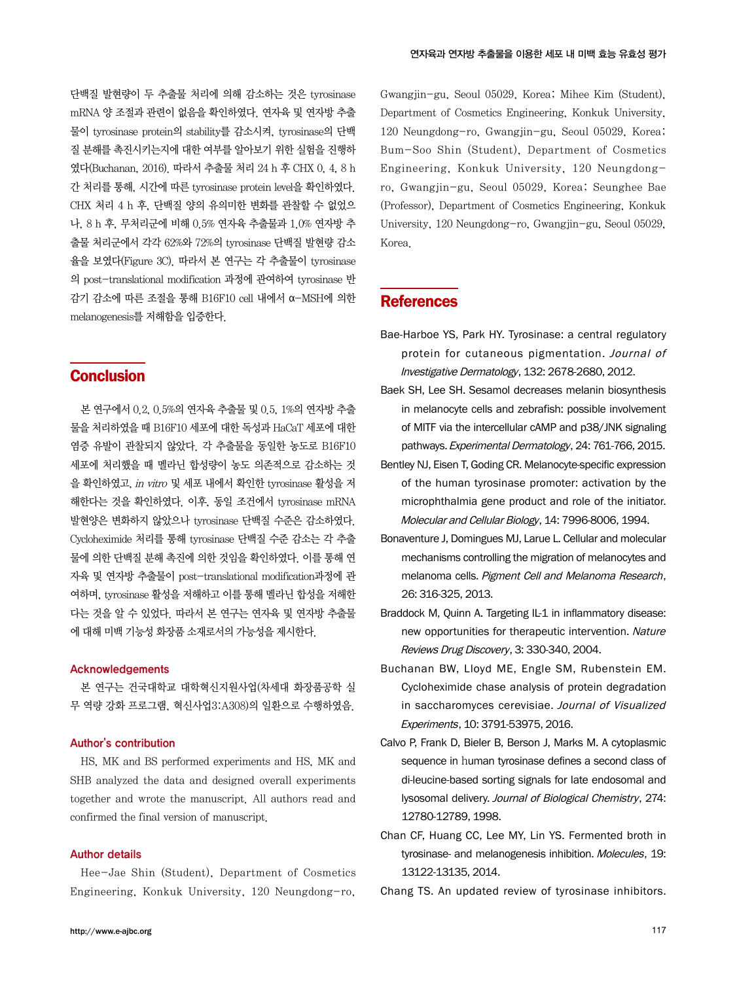단백질 발현량이 두 추출물 처리에 의해 감소하는 것은 tyrosinase mRNA 양 조절과 관련이 없음을 확인하였다. 연자육 및 연자방 추출 물이 tyrosinase protein의 stability를 감소시켜, tyrosinase의 단백 질 분해를 촉진시키는지에 대한 여부를 알아보기 위한 실험을 진행하 였다(Buchanan, 2016). 따라서 추출물 처리 24 h 후 CHX 0, 4, 8 h 간 처리를 통해, 시간에 따른 tyrosinase protein level을 확인하였다. CHX 처리 4 h 후, 단백질 양의 유의미한 변화를 관찰할 수 없었으 나, 8 h 후, 무처리군에 비해 0.5% 연자육 추출물과 1.0% 연자방 추 출물 처리군에서 각각 62%와 72%의 tyrosinase 단백질 발현량 감소 율을 보였다(Figure 3C). 따라서 본 연구는 각 추출물이 tyrosinase 의 post-translational modification 과정에 관여하여 tyrosinase 반 감기 감소에 따른 조절을 통해 B16F10 cell 내에서 α-MSH에 의한 melanogenesis를 저해함을 입증한다.

# **Conclusion**

본 연구에서 0.2, 0.5%의 연자육 추출물 및 0.5, 1%의 연자방 추출 물을 처리하였을 때 B16F10 세포에 대한 독성과 HaCaT 세포에 대한 염증 유발이 관찰되지 않았다. 각 추출물을 동일한 농도로 B16F10 세포에 처리했을 때 멜라닌 합성량이 농도 의존적으로 감소하는 것 을 확인하였고, in vitro 및 세포 내에서 확인한 tyrosinase 활성을 저 해한다는 것을 확인하였다. 이후, 동일 조건에서 tyrosinase mRNA 발현양은 변화하지 않았으나 tyrosinase 단백질 수준은 감소하였다. Cycloheximide 처리를 통해 tyrosinase 단백질 수준 감소는 각 추출 물에 의한 단백질 분해 촉진에 의한 것임을 확인하였다. 이를 통해 연 자육 및 연자방 추출물이 post-translational modification과정에 관 여하며, tyrosinase 활성을 저해하고 이를 통해 멜라닌 합성을 저해한 다는 것을 알 수 있었다. 따라서 본 연구는 연자육 및 연자방 추출물 에 대해 미백 기능성 화장품 소재로서의 가능성을 제시한다.

#### Acknowledgements

본 연구는 건국대학교 대학혁신지원사업(차세대 화장품공학 실 무 역량 강화 프로그램, 혁신사업3:A308)의 일환으로 수행하였음.

### Author's contribution

HS, MK and BS performed experiments and HS, MK and SHB analyzed the data and designed overall experiments together and wrote the manuscript. All authors read and confirmed the final version of manuscript.

#### Author details

Hee-Jae Shin (Student), Department of Cosmetics Engineering, Konkuk University, 120 Neungdong-ro, Gwangjin-gu, Seoul 05029, Korea; Mihee Kim (Student), Department of Cosmetics Engineering, Konkuk University, 120 Neungdong-ro, Gwangjin-gu, Seoul 05029, Korea; Bum-Soo Shin (Student), Department of Cosmetics Engineering, Konkuk University, 120 Neungdongro, Gwangjin-gu, Seoul 05029, Korea; Seunghee Bae (Professor), Department of Cosmetics Engineering, Konkuk University, 120 Neungdong-ro, Gwangjin-gu, Seoul 05029, Korea.

## **References**

- Bae-Harboe YS, Park HY. Tyrosinase: a central regulatory protein for cutaneous pigmentation. Journal of Investigative Dermatology, 132: 2678-2680, 2012.
- Baek SH, Lee SH. Sesamol decreases melanin biosynthesis in melanocyte cells and zebrafish: possible involvement of MITF via the intercellular cAMP and p38/JNK signaling pathways. Experimental Dermatology, 24: 761-766, 2015.
- Bentley NJ, Eisen T, Goding CR. Melanocyte-specific expression of the human tyrosinase promoter: activation by the microphthalmia gene product and role of the initiator. Molecular and Cellular Biology, 14: 7996-8006, 1994.
- Bonaventure J, Domingues MJ, Larue L. Cellular and molecular mechanisms controlling the migration of melanocytes and melanoma cells. Pigment Cell and Melanoma Research, 26: 316-325, 2013.
- Braddock M, Quinn A. Targeting IL-1 in inflammatory disease: new opportunities for therapeutic intervention. Nature Reviews Drug Discovery, 3: 330-340, 2004.
- Buchanan BW, Lloyd ME, Engle SM, Rubenstein EM. Cycloheximide chase analysis of protein degradation in saccharomyces cerevisiae. Journal of Visualized Experiments, 10: 3791-53975, 2016.
- Calvo P, Frank D, Bieler B, Berson J, Marks M. A cytoplasmic sequence in human tyrosinase defines a second class of di-leucine-based sorting signals for late endosomal and lysosomal delivery. Journal of Biological Chemistry, 274: 12780-12789, 1998.
- Chan CF, Huang CC, Lee MY, Lin YS. Fermented broth in tyrosinase- and melanogenesis inhibition. Molecules, 19: 13122-13135, 2014.

Chang TS. An updated review of tyrosinase inhibitors.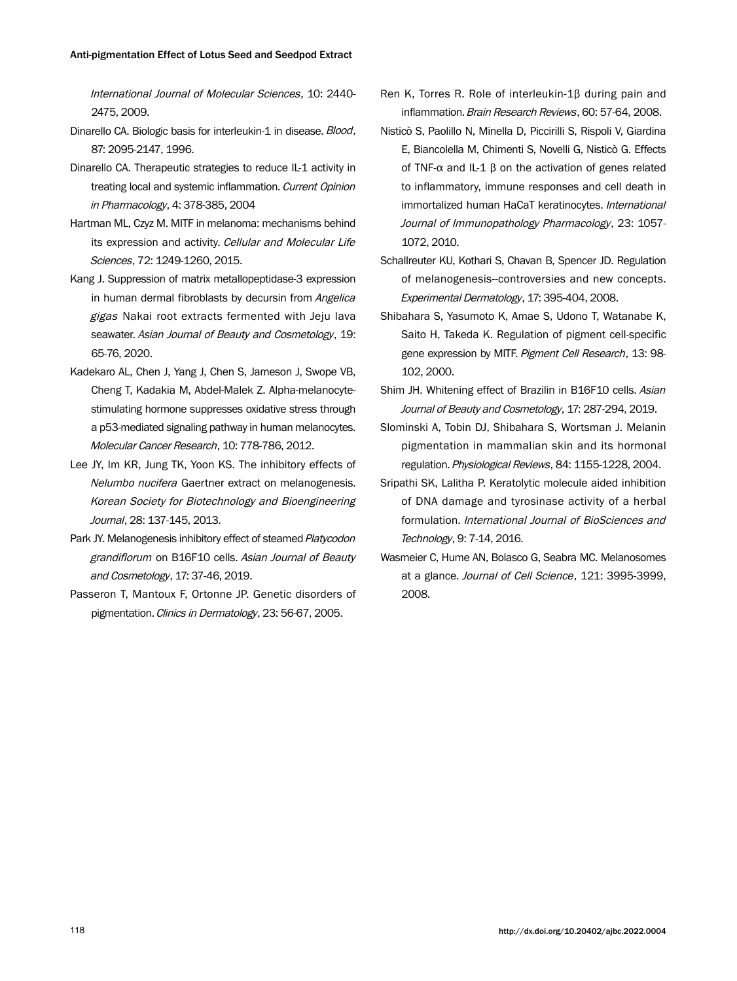International Journal of Molecular Sciences, 10: 2440- 2475, 2009.

- Dinarello CA. Biologic basis for interleukin-1 in disease. Blood, 87: 2095-2147, 1996.
- Dinarello CA. Therapeutic strategies to reduce IL-1 activity in treating local and systemic inflammation. Current Opinion in Pharmacology, 4: 378-385, 2004
- Hartman ML, Czyz M. MITF in melanoma: mechanisms behind its expression and activity. Cellular and Molecular Life Sciences, 72: 1249-1260, 2015.
- Kang J. Suppression of matrix metallopeptidase-3 expression in human dermal fibroblasts by decursin from Angelica gigas Nakai root extracts fermented with Jeju lava seawater. Asian Journal of Beauty and Cosmetology, 19: 65-76, 2020.
- Kadekaro AL, Chen J, Yang J, Chen S, Jameson J, Swope VB, Cheng T, Kadakia M, Abdel-Malek Z. Alpha-melanocytestimulating hormone suppresses oxidative stress through a p53-mediated signaling pathway in human melanocytes. Molecular Cancer Research, 10: 778-786, 2012.
- Lee JY, Im KR, Jung TK, Yoon KS. The inhibitory effects of Nelumbo nucifera Gaertner extract on melanogenesis. Korean Society for Biotechnology and Bioengineering Journal, 28: 137-145, 2013.
- Park JY. Melanogenesis inhibitory effect of steamed Platycodon grandiflorum on B16F10 cells. Asian Journal of Beauty and Cosmetology, 17: 37-46, 2019.
- Passeron T, Mantoux F, Ortonne JP. Genetic disorders of pigmentation. Clinics in Dermatology, 23: 56-67, 2005.
- Ren K, Torres R. Role of interleukin-1β during pain and inflammation. Brain Research Reviews, 60: 57-64, 2008.
- Nisticò S, Paolillo N, Minella D, Piccirilli S, Rispoli V, Giardina E, Biancolella M, Chimenti S, Novelli G, Nisticò G. Effects of TNF-α and IL-1 β on the activation of genes related to inflammatory, immune responses and cell death in immortalized human HaCaT keratinocytes. International Journal of Immunopathology Pharmacology, 23: 1057- 1072, 2010.
- Schallreuter KU, Kothari S, Chavan B, Spencer JD. Regulation of melanogenesis--controversies and new concepts. Experimental Dermatology, 17: 395-404, 2008.
- Shibahara S, Yasumoto K, Amae S, Udono T, Watanabe K, Saito H, Takeda K. Regulation of pigment cell-specific gene expression by MITF. Pigment Cell Research, 13: 98-102, 2000.
- Shim JH. Whitening effect of Brazilin in B16F10 cells. Asian Journal of Beauty and Cosmetology, 17: 287-294, 2019.
- Slominski A, Tobin DJ, Shibahara S, Wortsman J. Melanin pigmentation in mammalian skin and its hormonal regulation. Physiological Reviews, 84: 1155-1228, 2004.
- Sripathi SK, Lalitha P. Keratolytic molecule aided inhibition of DNA damage and tyrosinase activity of a herbal formulation. International Journal of BioSciences and Technology, 9: 7-14, 2016.
- Wasmeier C, Hume AN, Bolasco G, Seabra MC. Melanosomes at a glance. Journal of Cell Science, 121: 3995-3999, 2008.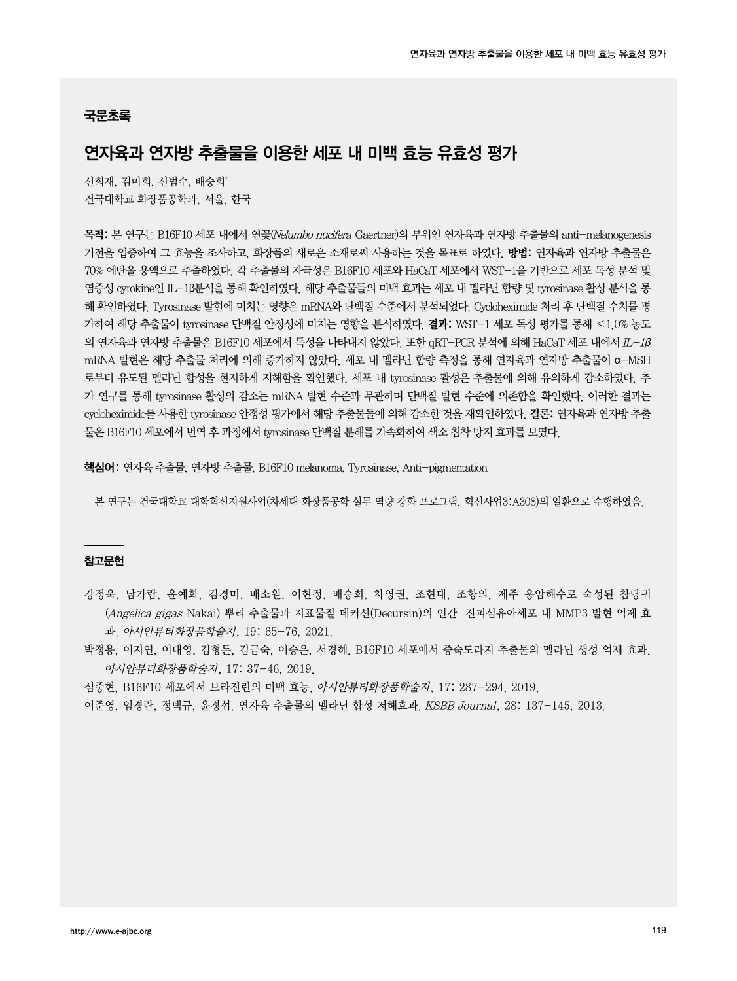### 국문초록

# 연자육과 연자방 추출물을 이용한 세포 내 미백 효능 유효성 평가

신희재, 김미희, 신범수, 배승희\* 건국대학교 화장품공학과, 서울, 한국

목적: 본 연구는 B16F10 세포 내에서 연꽃(Nelumbo nucifera Gaertner)의 부위인 연자육과 연자방 추출물의 anti-melanogenesis 기전을 입증하여 그 효능을 조사하고, 화장품의 새로운 소재로써 사용하는 것을 목표로 하였다. 방법: 연자육과 연자방 추출물은 70% 에탄올 용액으로 추출하였다. 각 추출물의 자극성은 B16F10 세포와 HaCaT 세포에서 WST-1을 기반으로 세포 독성 분석 및 염증성 cytokine인 IL-1β분석을 통해 확인하였다. 해당 추출물들의 미백 효과는 세포 내 멜라닌 함량 및 tyrosinase 활성 분석을 통 해 확인하였다. Tyrosinase 발현에 미치는 영향은 mRNA와 단백질 수준에서 분석되었다. Cycloheximide 처리 후 단백질 수치를 평 가하여 해당 추출물이 tyrosinase 단백질 안정성에 미치는 영향을 분석하였다. 결**과:** WST–1 세포 독성 평가를 통해 ≤1.0% 농도 의 연자육과 연자방 추출물은 B16F10 세포에서 독성을 나타내지 않았다. 또한 qRT-PCR 분석에 의해 HaCaT 세포 내에서  $L-1\beta$ mRNA 발현은 해당 추출물 처리에 의해 증가하지 않았다. 세포 내 멜라닌 함량 측정을 통해 연자육과 연자방 추출물이 α-MSH 로부터 유도된 멜라닌 합성을 현저하게 저해함을 확인했다. 세포 내 tyrosinase 활성은 추출물에 의해 유의하게 감소하였다. 추 가 연구를 통해 tyrosinase 활성의 감소는 mRNA 발현 수준과 무관하며 단백질 발현 수준에 의존함을 확인했다. 이러한 결과는 cycloheximide를 사용한 tyrosinase 안정성 평가에서 해당 추출물들에 의해 감소한 것을 재확인하였다. 결론: 연자육과 연자방 추출 물은 B16F10 세포에서 번역 후 과정에서 tyrosinase 단백질 분해를 가속화하여 색소 침착 방지 효과를 보였다.

핵심어: 연자육 추출물, 연자방 추출물, B16F10 melanoma, Tyrosinase, Anti-pigmentation

본 연구는 건국대학교 대학혁신지원사업(차세대 화장품공학 실무 역량 강화 프로그램, 혁신사업3:A308)의 일환으로 수행하였음.

#### 참고문헌

- 강정욱, 남가람, 윤예화, 김경미, 배소원, 이현정, 배승희, 차영권, 조현대, 조항의. 제주 용암해수로 숙성된 참당귀 (Angelica gigas Nakai) 뿌리 추출물과 지표물질 데커신(Decursin)의 인간 진피섬유아세포 내 MMP3 발현 억제 효 과. 아시안뷰티화장품학술지, 19: 65-76, 2021.
- 박정용, 이지연, 이대영, 김형돈, 김금숙, 이승은, 서경혜. B16F10 세포에서 증숙도라지 추출물의 멜라닌 생성 억제 효과. 아시안뷰티화장품학술지, 17: 37-46, 2019.

심중현. B16F10 세포에서 브라진린의 미백 효능. 아시안뷰티화장품학술지, 17: 287-294, 2019.

이준영, 임경란, 정택규, 윤경섭. 연자육 추출물의 멜라닌 합성 저해효과. KSBB Journal, 28: 137-145, 2013.